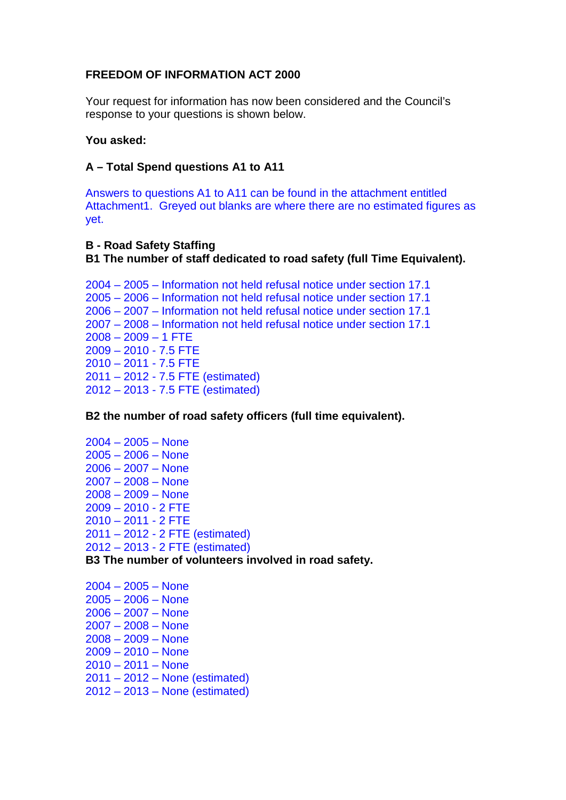# **FREEDOM OF INFORMATION ACT 2000**

Your request for information has now been considered and the Council's response to your questions is shown below.

### **You asked:**

# **A – Total Spend questions A1 to A11**

Answers to questions A1 to A11 can be found in the attachment entitled Attachment1. Greyed out blanks are where there are no estimated figures as yet.

# **B - Road Safety Staffing B1 The number of staff dedicated to road safety (full Time Equivalent).**

2004 – 2005 – Information not held refusal notice under section 17.1 2005 – 2006 – Information not held refusal notice under section 17.1 2006 – 2007 – Information not held refusal notice under section 17.1 2007 – 2008 – Information not held refusal notice under section 17.1  $2008 - 2009 - 1$  FTE 2009 – 2010 - 7.5 FTE 2010 – 2011 - 7.5 FTE 2011 – 2012 - 7.5 FTE (estimated) 2012 – 2013 - 7.5 FTE (estimated)

# **B2 the number of road safety officers (full time equivalent).**

2004 – 2005 – None 2005 – 2006 – None 2006 – 2007 – None 2007 – 2008 – None 2008 – 2009 – None 2009 – 2010 - 2 FTE 2010 – 2011 - 2 FTE 2011 – 2012 - 2 FTE (estimated) 2012 – 2013 - 2 FTE (estimated)

#### **B3 The number of volunteers involved in road safety.**

2004 – 2005 – None 2005 – 2006 – None 2006 – 2007 – None 2007 – 2008 – None 2008 – 2009 – None 2009 – 2010 – None  $2010 - 2011 - None$ 2011 – 2012 – None (estimated) 2012 – 2013 – None (estimated)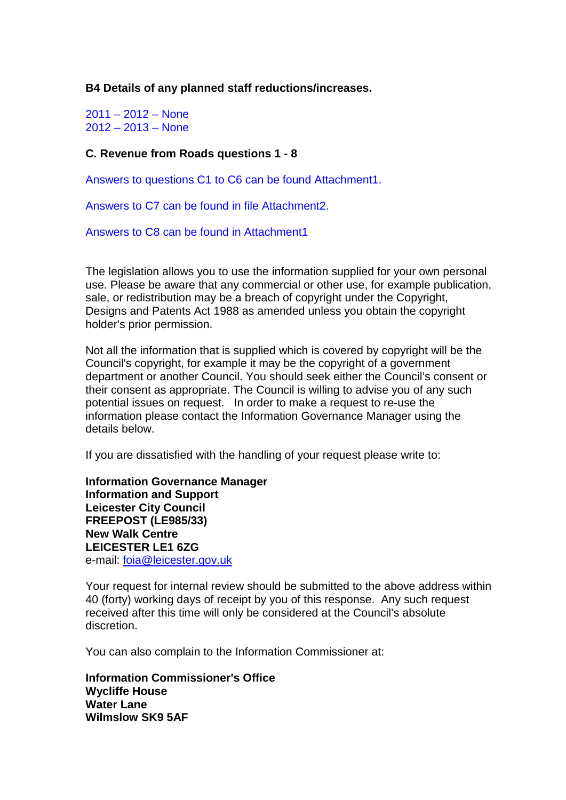**B4 Details of any planned staff reductions/increases.**

2011 – 2012 – None  $2012 - 2013 - None$ 

#### **C. Revenue from Roads questions 1 - 8**

Answers to questions C1 to C6 can be found Attachment1.

Answers to C7 can be found in file Attachment2.

Answers to C8 can be found in Attachment1

The legislation allows you to use the information supplied for your own personal use. Please be aware that any commercial or other use, for example publication, sale, or redistribution may be a breach of copyright under the Copyright. Designs and Patents Act 1988 as amended unless you obtain the copyright holder's prior permission.

Not all the information that is supplied which is covered by copyright will be the Council's copyright, for example it may be the copyright of a government department or another Council. You should seek either the Council's consent or their consent as appropriate. The Council is willing to advise you of any such potential issues on request. In order to make a request to re-use the information please contact the Information Governance Manager using the details below.

If you are dissatisfied with the handling of your request please write to:

**Information Governance Manager Information and Support Leicester City Council FREEPOST (LE985/33) New Walk Centre LEICESTER LE1 6ZG**  e-mail: [foia@leicester.gov.uk](mailto:foia@leicester.gov.uk) 

Your request for internal review should be submitted to the above address within 40 (forty) working days of receipt by you of this response. Any such request received after this time will only be considered at the Council's absolute discretion.

You can also complain to the Information Commissioner at:

**Information Commissioner's Office Wycliffe House Water Lane Wilmslow SK9 5AF**